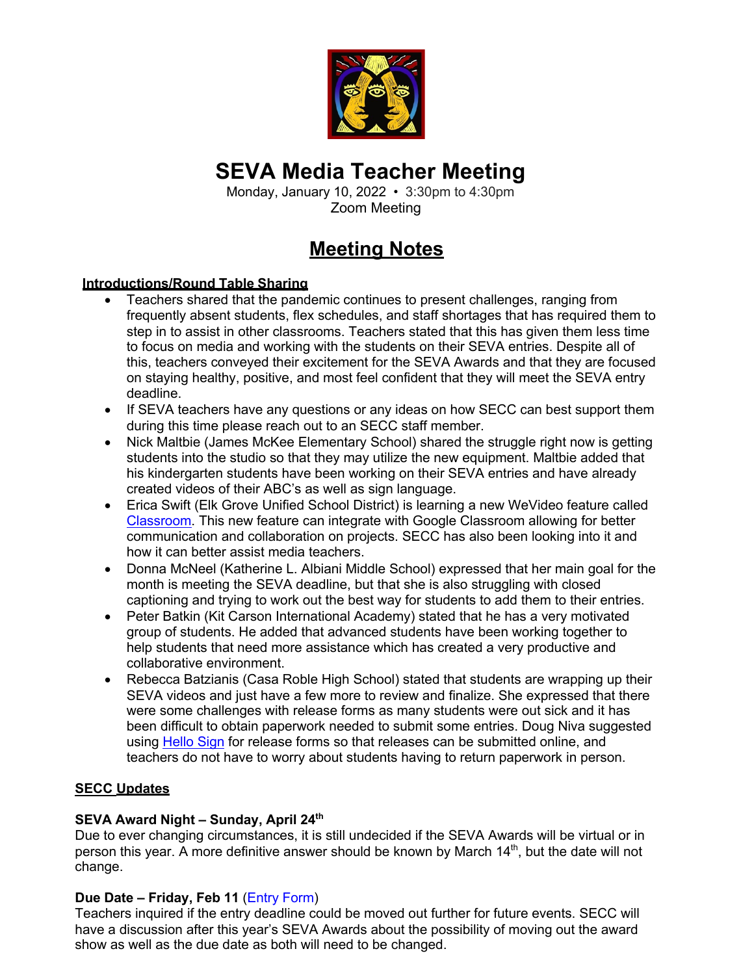

# **SEVA Media Teacher Meeting**

Monday, January 10, 2022 • 3:30pm to 4:30pm Zoom Meeting

## **Meeting Notes**

### **Introductions/Round Table Sharing**

- Teachers shared that the pandemic continues to present challenges, ranging from frequently absent students, flex schedules, and staff shortages that has required them to step in to assist in other classrooms. Teachers stated that this has given them less time to focus on media and working with the students on their SEVA entries. Despite all of this, teachers conveyed their excitement for the SEVA Awards and that they are focused on staying healthy, positive, and most feel confident that they will meet the SEVA entry deadline.
- If SEVA teachers have any questions or any ideas on how SECC can best support them during this time please reach out to an SECC staff member.
- Nick Maltbie (James McKee Elementary School) shared the struggle right now is getting students into the studio so that they may utilize the new equipment. Maltbie added that his kindergarten students have been working on their SEVA entries and have already created videos of their ABC's as well as sign language.
- Erica Swift (Elk Grove Unified School District) is learning a new WeVideo feature called Classroom. This new feature can integrate with Google Classroom allowing for better communication and collaboration on projects. SECC has also been looking into it and how it can better assist media teachers.
- Donna McNeel (Katherine L. Albiani Middle School) expressed that her main goal for the month is meeting the SEVA deadline, but that she is also struggling with closed captioning and trying to work out the best way for students to add them to their entries.
- Peter Batkin (Kit Carson International Academy) stated that he has a very motivated group of students. He added that advanced students have been working together to help students that need more assistance which has created a very productive and collaborative environment.
- Rebecca Batzianis (Casa Roble High School) stated that students are wrapping up their SEVA videos and just have a few more to review and finalize. She expressed that there were some challenges with release forms as many students were out sick and it has been difficult to obtain paperwork needed to submit some entries. Doug Niva suggested using Hello Sign for release forms so that releases can be submitted online, and teachers do not have to worry about students having to return paperwork in person.

## **SECC Updates**

## **SEVA Award Night – Sunday, April 24th**

Due to ever changing circumstances, it is still undecided if the SEVA Awards will be virtual or in person this year. A more definitive answer should be known by March 14<sup>th</sup>, but the date will not change.

## **Due Date – Friday, Feb 11** (Entry Form)

Teachers inquired if the entry deadline could be moved out further for future events. SECC will have a discussion after this year's SEVA Awards about the possibility of moving out the award show as well as the due date as both will need to be changed.